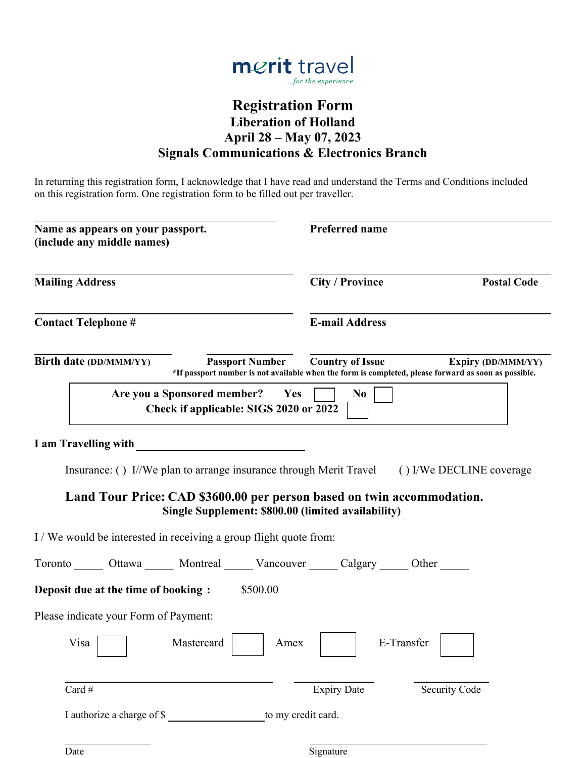

# **Registration Form Liberation of Holland April 28 – May 07, 2023 Signals Communications & Electronics Branch**

In returning this registration form, I acknowledge that I have read and understand the Terms and Conditions included on this registration form. One registration form to be filled out per traveller.

| Name as appears on your passport.<br>(include any middle names)<br><b>Mailing Address</b>   |                        | <b>Preferred name</b>                              |                                                                                                                                   |  |
|---------------------------------------------------------------------------------------------|------------------------|----------------------------------------------------|-----------------------------------------------------------------------------------------------------------------------------------|--|
|                                                                                             |                        | <b>City / Province</b><br><b>Postal Code</b>       |                                                                                                                                   |  |
| <b>Contact Telephone #</b>                                                                  |                        | <b>E-mail Address</b>                              |                                                                                                                                   |  |
| Birth date (DD/MMM/YY)                                                                      | <b>Passport Number</b> | <b>Country of Issue</b>                            | <b>Expiry (DD/MMM/YY)</b><br>*If passport number is not available when the form is completed, please forward as soon as possible. |  |
| Are you a Sponsored member?<br>Check if applicable: SIGS 2020 or 2022                       | Yes                    | N <sub>0</sub>                                     |                                                                                                                                   |  |
| I am Travelling with                                                                        |                        |                                                    |                                                                                                                                   |  |
| Insurance: () I/We plan to arrange insurance through Merit Travel () I/We DECLINE coverage  |                        |                                                    |                                                                                                                                   |  |
| Land Tour Price: CAD \$3600.00 per person based on twin accommodation.                      |                        | Single Supplement: \$800.00 (limited availability) |                                                                                                                                   |  |
| I/We would be interested in receiving a group flight quote from:                            |                        |                                                    |                                                                                                                                   |  |
| Toronto _______ Ottawa _______ Montreal ______ Vancouver ______ Calgary ______ Other ______ |                        |                                                    |                                                                                                                                   |  |
| Deposit due at the time of booking:                                                         | \$500.00               |                                                    |                                                                                                                                   |  |
| Please indicate your Form of Payment:                                                       |                        |                                                    |                                                                                                                                   |  |
| Visa Mastercard   Amex                                                                      |                        |                                                    | E-Transfer                                                                                                                        |  |
| Card #                                                                                      |                        | <b>Expiry Date</b>                                 | <b>Security Code</b>                                                                                                              |  |
| I authorize a charge of \$                                                                  | to my credit card.     |                                                    |                                                                                                                                   |  |
| Date                                                                                        |                        | Signature                                          |                                                                                                                                   |  |